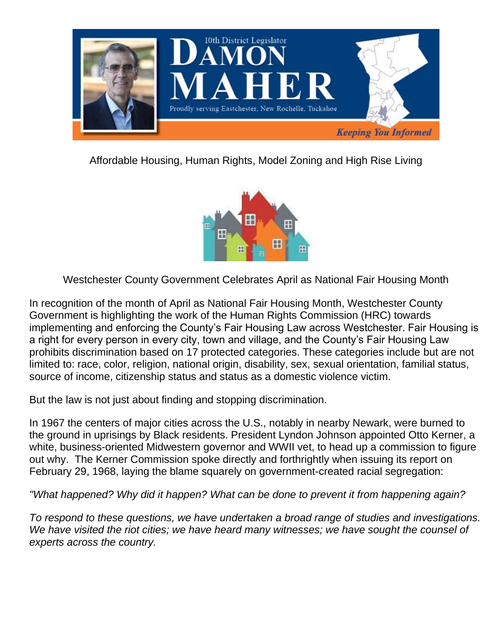

Affordable Housing, Human Rights, Model Zoning and High Rise Living



Westchester County Government Celebrates April as National Fair Housing Month

In recognition of the month of April as National Fair Housing Month, Westchester County Government is highlighting the work of the Human Rights Commission (HRC) towards implementing and enforcing the County's Fair Housing Law across Westchester. Fair Housing is a right for every person in every city, town and village, and the County's Fair Housing Law prohibits discrimination based on 17 protected categories. These categories include but are not limited to: race, color, religion, national origin, disability, sex, sexual orientation, familial status, source of income, citizenship status and status as a domestic violence victim.

But the law is not just about finding and stopping discrimination.

In 1967 the centers of major cities across the U.S., notably in nearby Newark, were burned to the ground in uprisings by Black residents. President Lyndon Johnson appointed Otto Kerner, a white, business-oriented Midwestern governor and WWII vet, to head up a commission to figure out why. The Kerner Commission spoke directly and forthrightly when issuing its report on February 29, 1968, laying the blame squarely on government-created racial segregation:

*"What happened? Why did it happen? What can be done to prevent it from happening again?*

*To respond to these questions, we have undertaken a broad range of studies and investigations. We have visited the riot cities; we have heard many witnesses; we have sought the counsel of experts across the country.*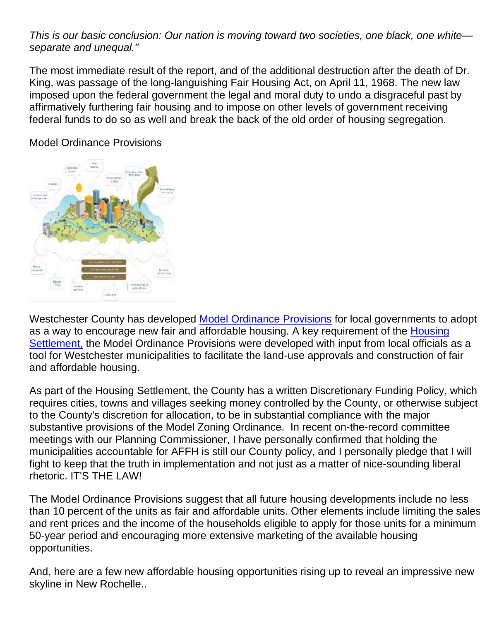*This is our basic conclusion: Our nation is moving toward two societies, one black, one white separate and unequal."*

The most immediate result of the report, and of the additional destruction after the death of Dr. King, was passage of the long-languishing Fair Housing Act, on April 11, 1968. The new law imposed upon the federal government the legal and moral duty to undo a disgraceful past by affirmatively furthering fair housing and to impose on other levels of government receiving federal funds to do so as well and break the back of the old order of housing segregation.

## Model Ordinance Provisions



Westchester County has developed [Model Ordinance Provisions](https://homes.westchestergov.com/images/stories/settlementpdfs/AppendixD-1-i.pdf) for local governments to adopt as a way to encourage new fair and affordable housing. A key requirement of the Housing [Settlement,](https://homes.westchestergov.com/resources/housing-settlement) the Model Ordinance Provisions were developed with input from local officials as a tool for Westchester municipalities to facilitate the land-use approvals and construction of fair and affordable housing.

As part of the Housing Settlement, the County has a written Discretionary Funding Policy, which requires cities, towns and villages seeking money controlled by the County, or otherwise subject to the County's discretion for allocation, to be in substantial compliance with the major substantive provisions of the Model Zoning Ordinance. In recent on-the-record committee meetings with our Planning Commissioner, I have personally confirmed that holding the municipalities accountable for AFFH is still our County policy, and I personally pledge that I will fight to keep that the truth in implementation and not just as a matter of nice-sounding liberal rhetoric. IT'S THE LAW!

The Model Ordinance Provisions suggest that all future housing developments include no less than 10 percent of the units as fair and affordable units. Other elements include limiting the sales and rent prices and the income of the households eligible to apply for those units for a minimum 50-year period and encouraging more extensive marketing of the available housing opportunities.

And, here are a few new affordable housing opportunities rising up to reveal an impressive new skyline in New Rochelle..